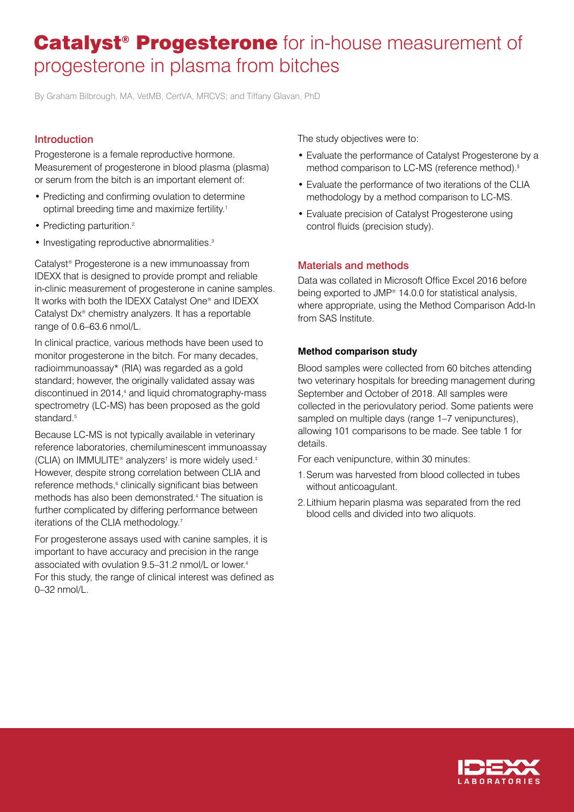# Catalyst<sup>®</sup> Progesterone for in-house measurement of progesterone in plasma from bitches

By Graham Bilbrough, MA, VetMB, CertVA, MRCVS; and Tiffany Glavan, PhD

# Introduction

Progesterone is a female reproductive hormone. Measurement of progesterone in blood plasma (plasma) or serum from the bitch is an important element of:

- Predicting and confirming ovulation to determine optimal breeding time and maximize fertility.1
- Predicting parturition.<sup>2</sup>
- Investigating reproductive abnormalities.<sup>3</sup>

Catalyst® Progesterone is a new immunoassay from IDEXX that is designed to provide prompt and reliable in-clinic measurement of progesterone in canine samples. It works with both the IDEXX Catalyst One® and IDEXX Catalyst Dx® chemistry analyzers. It has a reportable range of 0.6–63.6 nmol/L.

In clinical practice, various methods have been used to monitor progesterone in the bitch. For many decades, radioimmunoassay\* (RIA) was regarded as a gold standard; however, the originally validated assay was discontinued in 2014,<sup>4</sup> and liquid chromatography-mass spectrometry (LC-MS) has been proposed as the gold standard.<sup>5</sup>

Because LC-MS is not typically available in veterinary reference laboratories, chemiluminescent immunoassay (CLIA) on IMMULITE® analyzers† is more widely used.‡ However, despite strong correlation between CLIA and reference methods,<sup>6</sup> clinically significant bias between methods has also been demonstrated.4 The situation is further complicated by differing performance between iterations of the CLIA methodology.<sup>7</sup>

For progesterone assays used with canine samples, it is important to have accuracy and precision in the range associated with ovulation 9.5–31.2 nmol/L or lower.4 For this study, the range of clinical interest was defined as 0–32 nmol/L.

The study objectives were to:

- Evaluate the performance of Catalyst Progesterone by a method comparison to LC-MS (reference method).§
- Evaluate the performance of two iterations of the CLIA methodology by a method comparison to LC-MS.
- Evaluate precision of Catalyst Progesterone using control fluids (precision study).

# Materials and methods

Data was collated in Microsoft Office Excel 2016 before being exported to JMP® 14.0.0 for statistical analysis, where appropriate, using the Method Comparison Add-In from SAS Institute.

### **Method comparison study**

Blood samples were collected from 60 bitches attending two veterinary hospitals for breeding management during September and October of 2018. All samples were collected in the periovulatory period. Some patients were sampled on multiple days (range 1–7 venipunctures), allowing 101 comparisons to be made. See table 1 for details.

For each venipuncture, within 30 minutes:

- 1. Serum was harvested from blood collected in tubes without anticoagulant.
- 2. Lithium heparin plasma was separated from the red blood cells and divided into two aliquots.

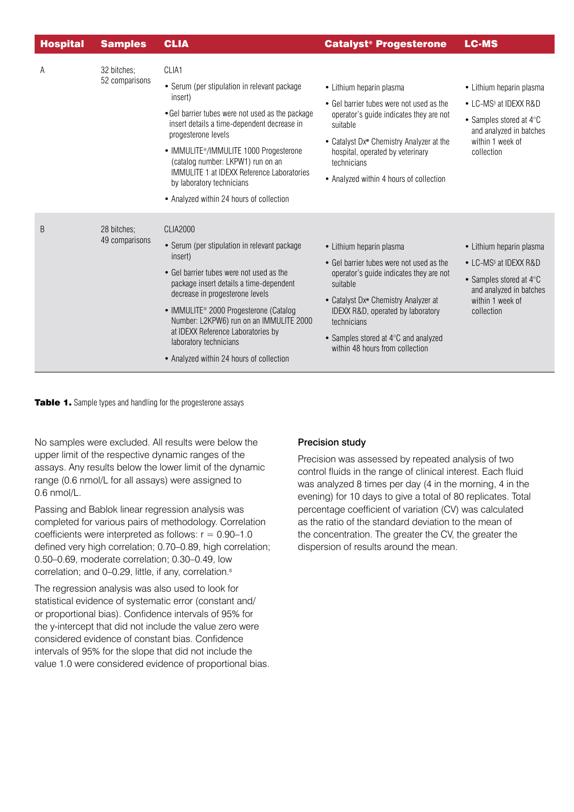| <b>Hospital</b> | <b>Samples</b>                | <b>CLIA</b>                                                                                                                                                                                                                                                                                                                                                                                                       | <b>Catalyst<sup>®</sup> Progesterone</b>                                                                                                                                                                                                                                                                       | <b>LC-MS</b>                                                                                                                                                    |
|-----------------|-------------------------------|-------------------------------------------------------------------------------------------------------------------------------------------------------------------------------------------------------------------------------------------------------------------------------------------------------------------------------------------------------------------------------------------------------------------|----------------------------------------------------------------------------------------------------------------------------------------------------------------------------------------------------------------------------------------------------------------------------------------------------------------|-----------------------------------------------------------------------------------------------------------------------------------------------------------------|
| A               | 32 bitches;<br>52 comparisons | CLIA1                                                                                                                                                                                                                                                                                                                                                                                                             |                                                                                                                                                                                                                                                                                                                |                                                                                                                                                                 |
|                 |                               | • Serum (per stipulation in relevant package<br>insert)<br>• Gel barrier tubes were not used as the package<br>insert details a time-dependent decrease in<br>progesterone levels<br>• IMMULITE <sup>®</sup> /IMMULITE 1000 Progesterone<br>(catalog number: LKPW1) run on an<br>IMMULITE 1 at IDEXX Reference Laboratories<br>by laboratory technicians<br>• Analyzed within 24 hours of collection              | • Lithium heparin plasma<br>• Gel barrier tubes were not used as the<br>operator's guide indicates they are not<br>suitable<br>• Catalyst Dx <sup>®</sup> Chemistry Analyzer at the<br>hospital, operated by veterinary<br>technicians<br>• Analyzed within 4 hours of collection                              | • Lithium heparin plasma<br>• LC-MS <sup>§</sup> at IDEXX R&D<br>• Samples stored at $4^{\circ}$ C<br>and analyzed in batches<br>within 1 week of<br>collection |
| B               | 28 bitches;<br>49 comparisons | <b>CLIA2000</b><br>• Serum (per stipulation in relevant package<br>insert)<br>• Gel barrier tubes were not used as the<br>package insert details a time-dependent<br>decrease in progesterone levels<br>• IMMULITE <sup>®</sup> 2000 Progesterone (Catalog<br>Number: L2KPW6) run on an IMMULITE 2000<br>at IDEXX Reference Laboratories by<br>laboratory technicians<br>• Analyzed within 24 hours of collection | • Lithium heparin plasma<br>• Gel barrier tubes were not used as the<br>operator's guide indicates they are not<br>suitable<br>• Catalyst Dx <sup>®</sup> Chemistry Analyzer at<br>IDEXX R&D, operated by laboratory<br>technicians<br>• Samples stored at 4°C and analyzed<br>within 48 hours from collection | • Lithium heparin plasma<br>• LC-MS <sup>§</sup> at IDEXX R&D<br>• Samples stored at $4^{\circ}$ C<br>and analyzed in batches<br>within 1 week of<br>collection |

Table 1. Sample types and handling for the progesterone assays

No samples were excluded. All results were below the upper limit of the respective dynamic ranges of the assays. Any results below the lower limit of the dynamic range (0.6 nmol/L for all assays) were assigned to 0.6 nmol/L.

Passing and Bablok linear regression analysis was completed for various pairs of methodology. Correlation coefficients were interpreted as follows:  $r = 0.90-1.0$ defined very high correlation; 0.70–0.89, high correlation; 0.50–0.69, moderate correlation; 0.30–0.49, low correlation; and 0-0.29, little, if any, correlation.<sup>8</sup>

The regression analysis was also used to look for statistical evidence of systematic error (constant and/ or proportional bias). Confidence intervals of 95% for the y-intercept that did not include the value zero were considered evidence of constant bias. Confidence intervals of 95% for the slope that did not include the value 1.0 were considered evidence of proportional bias.

# Precision study

Precision was assessed by repeated analysis of two control fluids in the range of clinical interest. Each fluid was analyzed 8 times per day (4 in the morning, 4 in the evening) for 10 days to give a total of 80 replicates. Total percentage coefficient of variation (CV) was calculated as the ratio of the standard deviation to the mean of the concentration. The greater the CV, the greater the dispersion of results around the mean.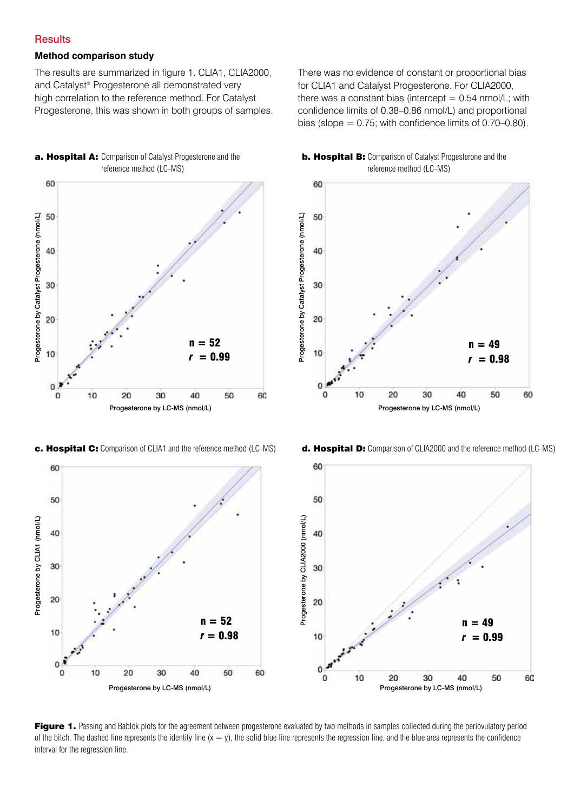## **Results**

#### **Method comparison study**

The results are summarized in figure 1. CLIA1, CLIA2000, and Catalyst® Progesterone all demonstrated very high correlation to the reference method. For Catalyst Progesterone, this was shown in both groups of samples. There was no evidence of constant or proportional bias for CLIA1 and Catalyst Progesterone. For CLIA2000, there was a constant bias (intercept  $= 0.54$  nmol/L; with confidence limits of 0.38–0.86 nmol/L) and proportional bias (slope  $= 0.75$ ; with confidence limits of 0.70–0.80).









c. Hospital C: Comparison of CLIA1 and the reference method (LC-MS) d. Hospital D: Comparison of CLIA2000 and the reference method (LC-MS)



Figure 1. Passing and Bablok plots for the agreement between progesterone evaluated by two methods in samples collected during the periovulatory period of the bitch. The dashed line represents the identity line  $(x = y)$ , the solid blue line represents the regression line, and the blue area represents the confidence interval for the regression line.